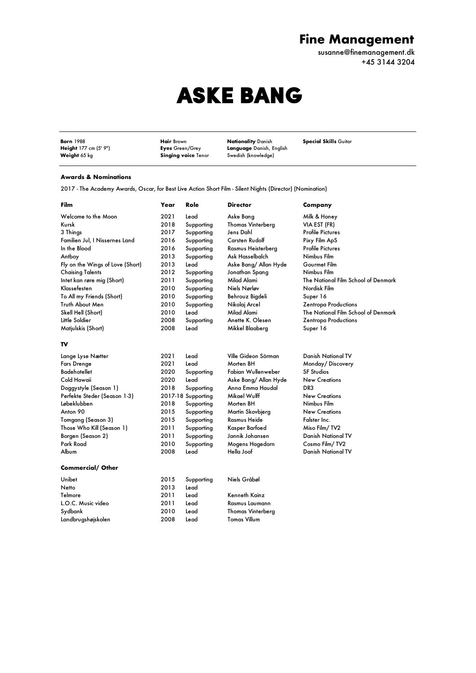## **Fine Management**

susanne@finemanagement.dk +45 3144 3204

## ASKE BANG

**Born** 1988 **Hair** Brown **Nationality** Danish **Special Skills** Guitar **Weight** 177 cm (5' 9")<br>**Weight** 65 kg

**Figure 178 Control Control Control Control Control Control Control Control Control Control Control Control Control Control Control Control Control Control Control Control Control Control Control Control Control Control Co** 

## **Awards & Nominations**

2017 - The Academy Awards, Oscar, for Best Live Action Short Film - Silent Nights (Director) (Nomination)

| Film                             | Year | Role               | <b>Director</b>          | Company                             |
|----------------------------------|------|--------------------|--------------------------|-------------------------------------|
| Welcome to the Moon              | 2021 | Lead               | Aske Bang                | Milk & Honey                        |
| Kursk                            | 2018 | Supporting         | <b>Thomas Vinterberg</b> | VIA EST (FR)                        |
| 3 Things                         | 2017 | Supporting         | Jens Dahl                | Profile Pictures                    |
| Familien Jul, I Nissernes Land   | 2016 | Supporting         | Carsten Rudolf           | Pixy Film ApS                       |
| In the Blood                     | 2016 | Supporting         | Rasmus Heisterberg       | Profile Pictures                    |
| Antboy                           | 2013 | Supporting         | Ask Hasselbalch          | Nimbus Film                         |
| Fly on the Wings of Love (Short) | 2013 | Lead               | Aske Bang/ Allan Hyde    | Gourmet Film                        |
| <b>Chaising Talents</b>          | 2012 | Supporting         | Jonathan Spang           | Nimbus Film                         |
| Intet kan røre mig (Short)       | 2011 | Supporting         | Milad Alami              | The National Film School of Denmark |
| Klassefesten                     | 2010 | Supporting         | Niels Nørløv             | Nordisk Film                        |
| To All my Friends (Short)        | 2010 | Supporting         | Behrouz Bigdeli          | Super 16                            |
| Truth About Men                  | 2010 | Supporting         | Nikolaj Arcel            | Zentropa Productions                |
| Skell Hell (Short)               | 2010 | Lead               | Milad Alami              | The National Film School of Denmark |
| Little Soldier                   | 2008 | Supporting         | Anette K. Olesen         | Zentropa Productions                |
| Matjulskis (Short)               | 2008 | Lead               | Mikkel Blaaberg          | Super 16                            |
| TV                               |      |                    |                          |                                     |
| Lange Lyse Nætter                | 2021 | Lead               | Ville Gideon Sörman      | Danish National TV                  |
| <b>Fars Drenge</b>               | 2021 | Lead               | Morten BH                | Monday/Discovery                    |
| <b>Badehotellet</b>              | 2020 | Supporting         | Fabian Wullenweber       | <b>SF Studios</b>                   |
| Cold Hawaii                      | 2020 | Lead               | Aske Bang/ Allan Hyde    | <b>New Creations</b>                |
| Doggystyle (Season 1)            | 2018 | Supporting         | Anna Emma Haudal         | DR3                                 |
| Perfekte Steder (Season 1-3)     |      | 2017-18 Supporting | Mikael Wulff             | <b>New Creations</b>                |
| Løbeklubben                      | 2018 | Supporting         | Morten BH                | Nimbus Film                         |
| Anton 90                         | 2015 | Supporting         | Martin Skovbjerg         | <b>New Creations</b>                |
| Tomgang (Season 3)               | 2015 | Supporting         | Rasmus Heide             | Falster Inc.                        |
| Those Who Kill (Season 1)        | 2011 | Supporting         | Kasper Barfoed           | Miso Film/TV2                       |
| Borgen (Season 2)                | 2011 | Supporting         | Jannik Johansen          | <b>Danish National TV</b>           |
| Park Road                        | 2010 | Supporting         | Mogens Hagedorn          | Cosmo Film/TV2                      |
| Album                            | 2008 | Lead               | Hella Joof               | <b>Danish National TV</b>           |
| <b>Commercial/ Other</b>         |      |                    |                          |                                     |
| Unibet                           | 2015 | Supporting         | Niels Gråbøl             |                                     |
| Netto                            | 2013 | Lead               |                          |                                     |
| Telmore                          | 2011 | Lead               | Kenneth Kainz            |                                     |
| L.O.C. Music video               | 2011 | Lead               | Rasmus Laumann           |                                     |
| Sydbank                          | 2010 | Lead               | <b>Thomas Vinterberg</b> |                                     |
| Landbrugshøjskolen               | 2008 | Lead               | Tomas Villum             |                                     |